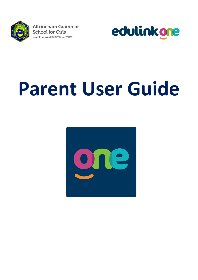

**Altrincham Grammar School for Girls Bright Futures EDUCATIONAL TRUST** 



# **Parent User Guide**

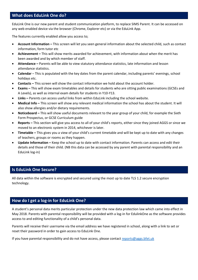# **What does EduLink One do?**

EduLink One is our new parent and student communication platform, to replace SIMS Parent. It can be accessed on any web enabled device via the browser (Chrome, Explorer etc) or via the EduLink App.

The features currently enabled allow you access to;

- **Account Information –** This screen will let you seen general information about the selected child, such as contact information, form tutor etc
- **Achievement –** This will show merits awarded for achievement, with information about when the merit has been awarded and by which member of staff.
- **Attendance –** Parents will be able to view statutory attendance statistics, late information and lesson attendance statistics.
- **Calendar**  This is populated with the key dates from the parent calendar, including parents' evenings, school holidays etc.
- **Contacts –** This screen will show the contact information we hold about the account holder.
- **Exams –** This will show exam timetables and details for students who are sitting public examinations (GCSEs and A Levels), as well as internal exam details for students in Y10-Y13.
- **Links –** Parents can access useful links from within EduLink including the school website.
- **Medical Info –** This screen will show any relevant medical information the school has about the student. It will also show allergies and/or dietary requirements.
- **Noticeboard –** This will show useful documents relevant to the year group of your child, for example the Sixth Form Prospectus, or GCSE Curriculum guide
- **Reports –** This section will give you access to all of your child's reports, either since they joined AGGS or since we moved to an electronic system in 2014, whichever is later.
- **Timetable –** This gives you a view of your child's current timetable and will be kept up to date with any changes of teachers, groups or rooms as they happen.
- **Update Information –** Keep the school up to date with contact information. Parents can access and edit their details and those of their child. (NB this data can be accessed by any parent with parental responsibility and an EduLink log-in)

#### **Is EduLink One Secure?**

All data within the software is encrypted and secured using the most up to date TLS 1.2 secure encryption technology.

#### **How do I get a log-in for EduLink One?**

A student's personal data merits particular protection under the new data protection law which came into effect in May 2018. Parents with parental responsibility will be provided with a log-in for EdulinkOne as the software provides access to and editing functionality of a child's personal data.

Parents will receive their username via the email address we have registered in school, along with a link to set or reset their password in order to gain access to EduLink One.

If you have parental responsibility and do not have access, please contact [reports@aggs.bfet.uk](mailto:reports@aggs.bfet.uk)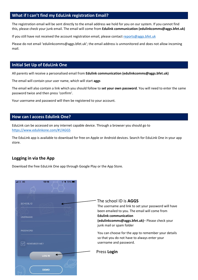# **What if I can't find my EduLink registration Email?**

The registration email will be sent directly to the email address we hold for you on our system. If you cannot find this, please check your junk email. The email will come from **Edulink communication (edulinkcomms@aggs.bfet.uk)**

If you still have not received the account registration email, please contact [reports@aggs.bfet.uk](mailto:reports@aggs.bfet.uk)

Please do not email 'edulinkcomms@aggs.bfet.uk'; the email address is unmonitored and does not allow incoming mail.

## **Initial Set Up of EduLink One**

All parents will receive a personalised email from **Edulink communication (edulinkcomms@aggs.bfet.uk)**

The email will contain your user name, which will start **aggs**

The email will also contain a link which you should follow to **set your own password**. You will need to enter the same password twice and then press 'confirm'.

Your username and password will then be registered to your account.

#### **How can I access Edulink One?**

EduLink can be accessed on any internet capable device. Through a browser you should go to <https://www.edulinkone.com/#!/AGGS>

The EduLink app is available to download for free on Apple or Android devices. Search for EduLink One in your app store.

# **Logging in via the App**

Download the free EduLink One app through Google Play or the App Store.

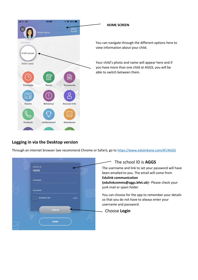

# **Logging in via the Desktop version**

Through an internet browser (we recommend Chrome or Safari), go to<https://www.edulinkone.com/#!/AGGS>

| SCHOOL ID<br><b>AGGS</b>                                    | The school ID is AGGS<br>The username and link to set your password will have<br>been emailed to you. The email will come from<br><b>Edulink communication</b> |
|-------------------------------------------------------------|----------------------------------------------------------------------------------------------------------------------------------------------------------------|
| <b>USERNAME</b>                                             | (edulinkcomms@aggs.bfet.uk)- Please check your<br>junk mail or spam folder                                                                                     |
| <b>PASSWORD</b><br><b>REMEMBER ME?</b><br>HFI <sub>P?</sub> | You can choose for the app to remember your details<br>so that you do not have to always enter your<br>username and password.                                  |
| <b>LOG IN</b>                                               | Choose Login                                                                                                                                                   |
| <b>DEMO</b>                                                 |                                                                                                                                                                |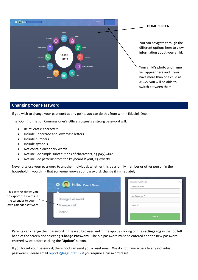

#### **Changing Your Password**

If you wish to change your password at any point, you can do this from within EduLink One.

The ICO (Information Commissioner's Office) suggests a strong password will:

- Be at least 8 characters
- Include uppercase and lowercase letters
- Include numbers
- Include symbols
- Not contain dictionary words
- Not include simple substitutions of characters, eg p4\$\$w0rd
- Not include patterns from the keyboard layout, eg qwerty

Never disclose your password to another individual, whether this be a family member or other person in the household. If you think that someone knows your password, change it immediately.

| This setting allows you |
|-------------------------|
| to export the events in |
| the calendar to your    |
| own calendar software.  |

| $\frac{1}{2}$<br>Hello, Parent Name | <b>CHANGE PASSWORD</b><br>Old Password* |
|-------------------------------------|-----------------------------------------|
| Change Password                     | New Password*                           |
| Manage iCal                         | Confirm*                                |
| Logout                              |                                         |
|                                     | <b>UPDATE</b>                           |

Parents can change their password in the web browser and in the app by clicking on the **settings cog** in the top left hand of the screen and selecting '**Change Password'**. The old password must be entered and the new password entered twice before clicking the **'Update'** button.

If you forget your password, the school can send you a reset email. We do not have access to any individual passwords. Please email [reports@aggs.bfet.uk](mailto:reports@aggs.bfet.uk) if you require a password reset.